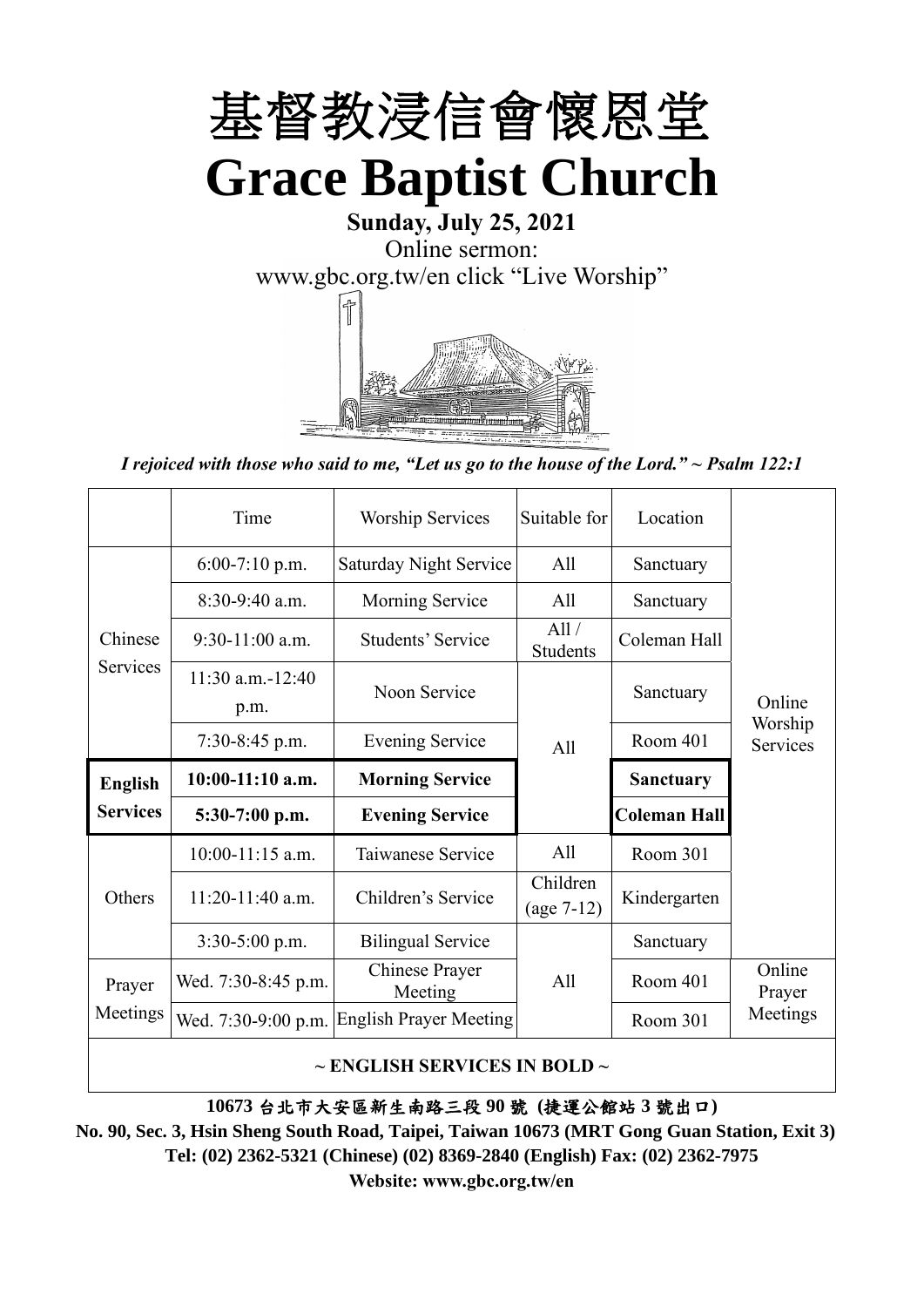

**Sunday, July 25, 2021** Online sermon: [www.gbc.org.tw/en](http://www.gbc.org.tw/en) click "Live Worship"



*I rejoiced with those who said to me, "Let us go to the house of the Lord." ~ Psalm 122:1*

|                 | Time                          | <b>Worship Services</b>       | Suitable for             | Location            |                     |
|-----------------|-------------------------------|-------------------------------|--------------------------|---------------------|---------------------|
|                 | $6:00-7:10$ p.m.              | Saturday Night Service        | A11                      | Sanctuary           |                     |
|                 | $8:30-9:40$ a.m.              | Morning Service               | All                      | Sanctuary           |                     |
| Chinese         | $9:30-11:00$ a.m.             | Students' Service             | All/<br><b>Students</b>  | Coleman Hall        |                     |
| Services        | $11:30$ a.m.- $12:40$<br>p.m. | Noon Service                  |                          | Sanctuary           | Online              |
|                 | $7:30-8:45$ p.m.              | <b>Evening Service</b>        | All                      | Room 401            | Worship<br>Services |
| <b>English</b>  | $10:00-11:10$ a.m.            | <b>Morning Service</b>        |                          | <b>Sanctuary</b>    |                     |
| <b>Services</b> |                               |                               |                          |                     |                     |
|                 | 5:30-7:00 p.m.                | <b>Evening Service</b>        |                          | <b>Coleman Hall</b> |                     |
|                 | $10:00-11:15$ a.m.            | Taiwanese Service             | All                      | Room 301            |                     |
| Others          | $11:20-11:40$ a.m.            | Children's Service            | Children<br>$(age 7-12)$ | Kindergarten        |                     |
|                 | $3:30-5:00$ p.m.              | <b>Bilingual Service</b>      |                          | Sanctuary           |                     |
| Prayer          | Wed. 7:30-8:45 p.m.           | Chinese Prayer<br>Meeting     | A11                      | Room 401            | Online<br>Prayer    |
| Meetings        | Wed. 7:30-9:00 p.m.           | <b>English Prayer Meeting</b> |                          | Room 301            | Meetings            |

**10673** 台北市大安區新生南路三段 **90** 號 **(**捷運公館站 **3** 號出口**)**

**No. 90, Sec. 3, Hsin Sheng South Road, Taipei, Taiwan 10673 (MRT Gong Guan Station, Exit 3) Tel: (02) 2362-5321 (Chinese) (02) 8369-2840 (English) Fax: (02) 2362-7975**

**Website: www.gbc.org.tw/en**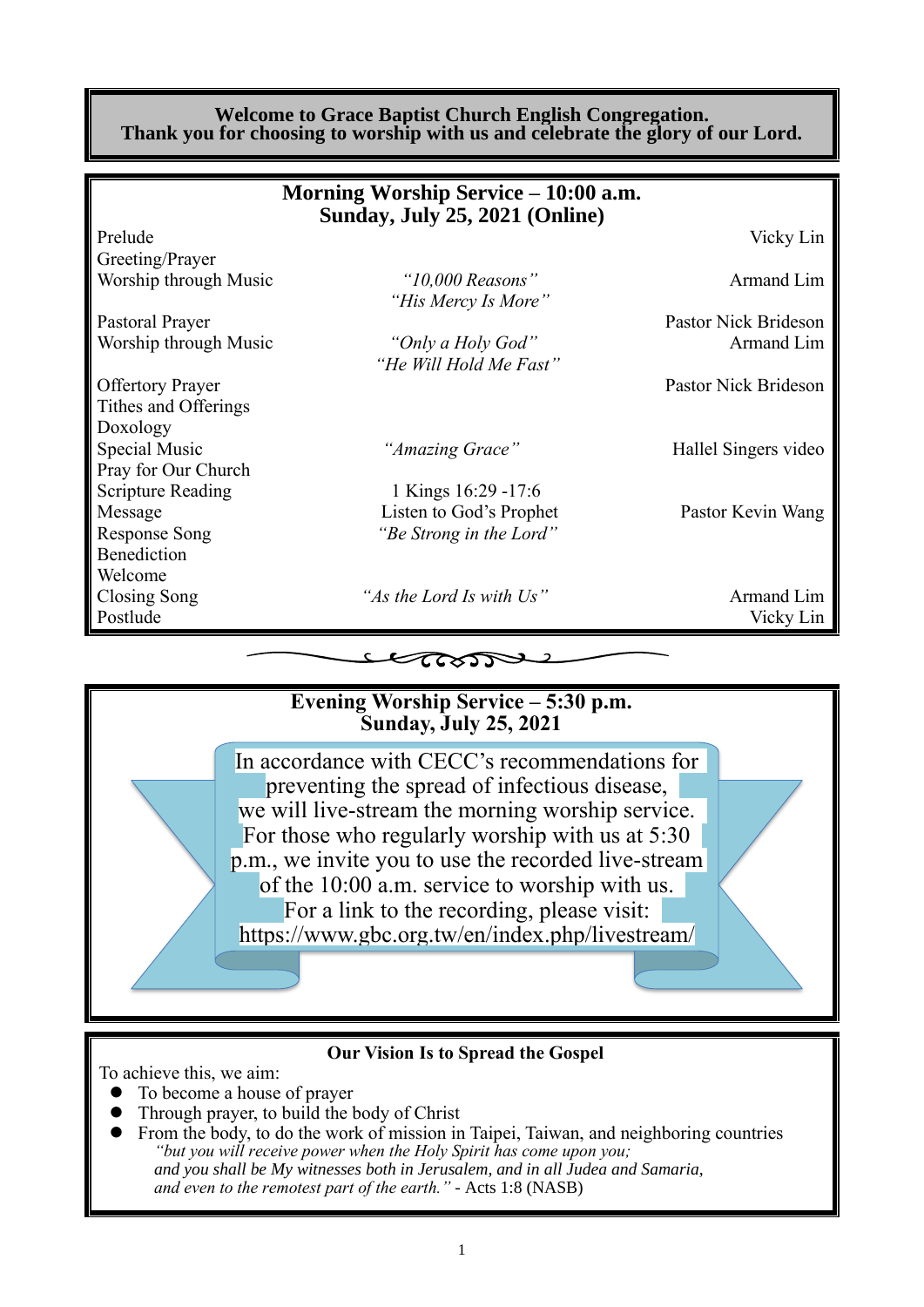#### **Welcome to Grace Baptist Church English Congregation. Thank you for choosing to worship with us and celebrate the glory of our Lord.**

|                          | Morning Worship Service – 10:00 a.m.<br>Sunday, July 25, 2021 (Online) |                      |
|--------------------------|------------------------------------------------------------------------|----------------------|
| Prelude                  |                                                                        | Vicky Lin            |
| Greeting/Prayer          |                                                                        |                      |
| Worship through Music    | " $10,000$ Reasons"                                                    | Armand Lim           |
|                          | "His Mercy Is More"                                                    |                      |
| Pastoral Prayer          |                                                                        | Pastor Nick Brideson |
| Worship through Music    | "Only a Holy God"                                                      | Armand Lim           |
|                          | "He Will Hold Me Fast"                                                 |                      |
| <b>Offertory Prayer</b>  |                                                                        | Pastor Nick Brideson |
| Tithes and Offerings     |                                                                        |                      |
| Doxology                 |                                                                        |                      |
| Special Music            | "Amazing Grace"                                                        | Hallel Singers video |
| Pray for Our Church      |                                                                        |                      |
| <b>Scripture Reading</b> | 1 Kings 16:29 -17:6                                                    |                      |
| Message                  | Listen to God's Prophet                                                | Pastor Kevin Wang    |
| <b>Response Song</b>     | "Be Strong in the Lord"                                                |                      |
| Benediction              |                                                                        |                      |
| Welcome                  |                                                                        |                      |
| Closing Song             | "As the Lord Is with Us"                                               | Armand Lim           |
| Postlude                 |                                                                        | Vicky Lin            |
|                          |                                                                        |                      |

## **Evening Worship Service – 5:30 p.m. Sunday, July 25, 2021**

 $\epsilon$ 

In accordance with CECC's recommendations for preventing the spread of infectious disease, we will live-stream the morning worship service. For those who regularly worship with us at 5:30 p.m., we invite you to use the recorded live-stream of the 10:00 a.m. service to worship with us. For a link to the recording, please visit: https://www.gbc.org.tw/en/index.php/livestream/

#### **Our Vision Is to Spread the Gospel**

To achieve this, we aim:

- ⚫ To become a house of prayer
- ⚫ Through prayer, to build the body of Christ
- ⚫ From the body, to do the work of mission in Taipei, Taiwan, and neighboring countries *"but you will receive power when the Holy Spirit has come upon you; and you shall be My witnesses both in Jerusalem, and in all Judea and Samaria, and even to the remotest part of the earth." -* Acts 1:8 (NASB)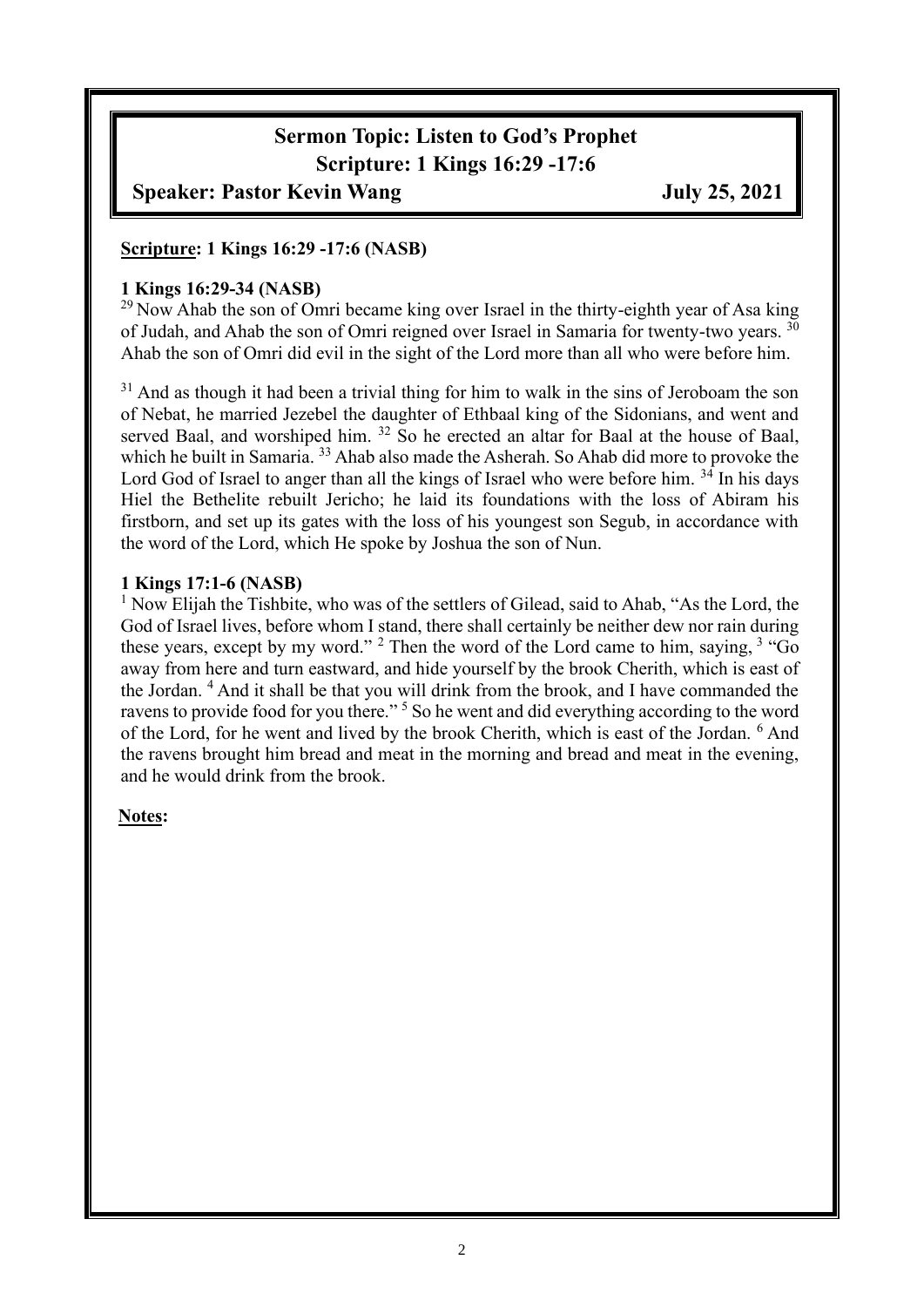# **Sermon Topic: Listen to God's Prophet Scripture: 1 Kings 16:29 -17:6**

## **Speaker: Pastor Kevin Wang July 25, 2021**

#### **Scripture: 1 Kings 16:29 -17:6 (NASB)**

#### **1 Kings 16:29-34 (NASB)**

 $^{29}$ Now Ahab the son of Omri became king over Israel in the thirty-eighth year of Asa king of Judah, and Ahab the son of Omri reigned over Israel in Samaria for twenty-two years. <sup>30</sup> Ahab the son of Omri did evil in the sight of the Lord more than all who were before him.

<sup>31</sup> And as though it had been a trivial thing for him to walk in the sins of Jeroboam the son of Nebat, he married Jezebel the daughter of Ethbaal king of the Sidonians, and went and served Baal, and worshiped him. <sup>32</sup> So he erected an altar for Baal at the house of Baal, which he built in Samaria.<sup>33</sup> Ahab also made the Asherah. So Ahab did more to provoke the Lord God of Israel to anger than all the kings of Israel who were before him. <sup>34</sup> In his days Hiel the Bethelite rebuilt Jericho; he laid its foundations with the loss of Abiram his firstborn, and set up its gates with the loss of his youngest son Segub, in accordance with the word of the Lord, which He spoke by Joshua the son of Nun.

#### **1 Kings 17:1-6 (NASB)**

<sup>1</sup> Now Elijah the Tishbite, who was of the settlers of Gilead, said to Ahab, "As the Lord, the God of Israel lives, before whom I stand, there shall certainly be neither dew nor rain during these years, except by my word."  $2$  Then the word of the Lord came to him, saying,  $3$  "Go away from here and turn eastward, and hide yourself by the brook Cherith, which is east of the Jordan. <sup>4</sup> And it shall be that you will drink from the brook, and I have commanded the ravens to provide food for you there."<sup>5</sup> So he went and did everything according to the word of the Lord, for he went and lived by the brook Cherith, which is east of the Jordan. <sup>6</sup> And the ravens brought him bread and meat in the morning and bread and meat in the evening, and he would drink from the brook.

#### **Notes:**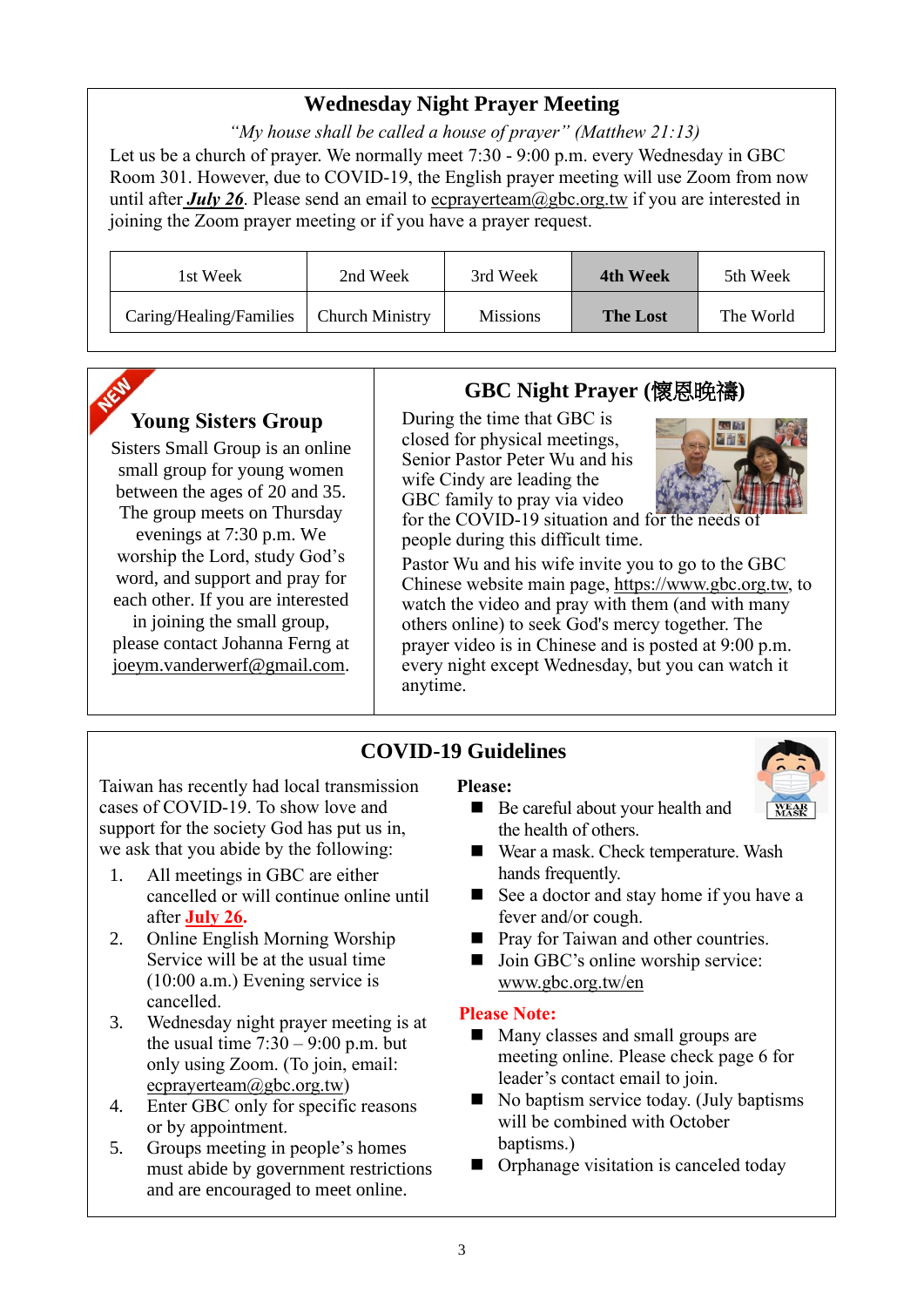## **Wednesday Night Prayer Meeting**

*"My house shall be called a house of prayer" (Matthew 21:13)* Let us be a church of prayer. We normally meet 7:30 - 9:00 p.m. every Wednesday in GBC Room 301. However, due to COVID-19, the English prayer meeting will use Zoom from now until after *July 26*. Please send an email to ecprayerteam@gbc.org.tw if you are interested in joining the Zoom prayer meeting or if you have a prayer request.

| 1st Week                | 2nd Week               | 3rd Week        | 4th Week        | 5th Week  |
|-------------------------|------------------------|-----------------|-----------------|-----------|
| Caring/Healing/Families | <b>Church Ministry</b> | <b>Missions</b> | <b>The Lost</b> | The World |

## **Young Sisters Group**

Sisters Small Group is an online small group for young women between the ages of 20 and 35. The group meets on Thursday evenings at 7:30 p.m. We worship the Lord, study God's word, and support and pray for each other. If you are interested in joining the small group, please contact Johanna Ferng at [joeym.vanderwerf@gmail.com.](mailto:joeym.vanderwerf@gmail.com)

## **GBC Night Prayer (**懷恩晚禱**)**

During the time that GBC is closed for physical meetings, Senior Pastor Peter Wu and his wife Cindy are leading the GBC family to pray via video



for the COVID-19 situation and for the needs of people during this difficult time.

Pastor Wu and his wife invite you to go to the GBC Chinese website main page, https://www.gbc.org.tw, to watch the video and pray with them (and with many others online) to seek God's mercy together. The prayer video is in Chinese and is posted at 9:00 p.m. every night except Wednesday, but you can watch it anytime.

## **COVID-19 Guidelines**

Taiwan has recently had local transmission cases of COVID-19. To show love and support for the society God has put us in, we ask that you abide by the following:

- 1. All meetings in GBC are either cancelled or will continue online until after **July 26.**
- 2. Online English Morning Worship Service will be at the usual time (10:00 a.m.) Evening service is cancelled.
- 3. Wednesday night prayer meeting is at the usual time  $7:30 - 9:00$  p.m. but only using Zoom. (To join, email: ecprayerteam@gbc.org.tw)
- 4. Enter GBC only for specific reasons or by appointment.
- 5. Groups meeting in people's homes must abide by government restrictions and are encouraged to meet online.

#### **Please:**

- Be careful about your health and the health of others.
- Wear a mask. Check temperature. Wash hands frequently.
- See a doctor and stay home if you have a fever and/or cough.
- Pray for Taiwan and other countries.
- Join GBC's online worship service: www.gbc.org.tw/en

#### **Please Note:**

- Many classes and small groups are meeting online. Please check page 6 for leader's contact email to join.
- No baptism service today. (July baptisms will be combined with October baptisms.)
- Orphanage visitation is canceled today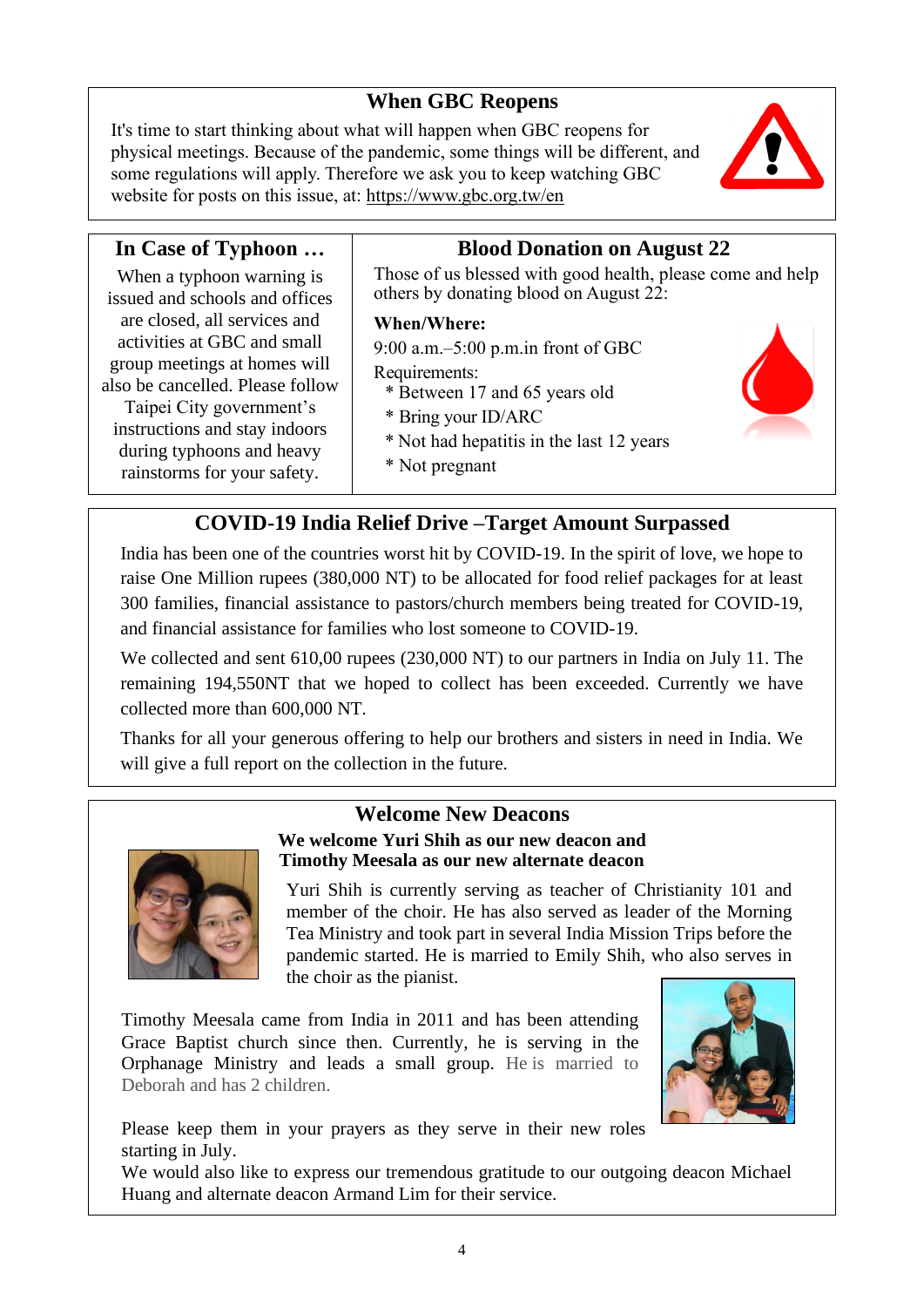## **When GBC Reopens**

It's time to start thinking about what will happen when GBC reopens for physical meetings. Because of the pandemic, some things will be different, and some regulations will apply. Therefore we ask you to keep watching GBC website for posts on this issue, at:<https://www.gbc.org.tw/en>



#### **In Case of Typhoon …** When a typhoon warning is issued and schools and offices are closed, all services and activities at GBC and small group meetings at homes will also be cancelled. Please follow Taipei City government's instructions and stay indoors during typhoons and heavy rainstorms for your safety. **Blood Donation on August 22** Those of us blessed with good health, please come and help others by donating blood on August 22: **When/Where:** 9:00 a.m.–5:00 p.m.in front of GBC Requirements: \* Between 17 and 65 years old \* Bring your ID/ARC \* Not had hepatitis in the last 12 years \* Not pregnant

## **COVID-19 India Relief Drive –Target Amount Surpassed**

India has been one of the countries worst hit by COVID-19. In the spirit of love, we hope to raise One Million rupees (380,000 NT) to be allocated for food relief packages for at least 300 families, financial assistance to pastors/church members being treated for COVID-19, and financial assistance for families who lost someone to COVID-19.

We collected and sent 610,00 rupees (230,000 NT) to our partners in India on July 11. The remaining 194,550NT that we hoped to collect has been exceeded. Currently we have collected more than 600,000 NT.

Thanks for all your generous offering to help our brothers and sisters in need in India. We will give a full report on the collection in the future.





### **We welcome Yuri Shih as our new deacon and Timothy Meesala as our new alternate deacon**

Yuri Shih is currently serving as teacher of Christianity 101 and member of the choir. He has also served as leader of the Morning Tea Ministry and took part in several India Mission Trips before the pandemic started. He is married to Emily Shih, who also serves in the choir as the pianist.

Timothy Meesala came from India in 2011 and has been attending Grace Baptist church since then. Currently, he is serving in the Orphanage Ministry and leads a small group. He is married to Deborah and has 2 children.



Please keep them in your prayers as they serve in their new roles starting in July.

We would also like to express our tremendous gratitude to our outgoing deacon Michael Huang and alternate deacon Armand Lim for their service.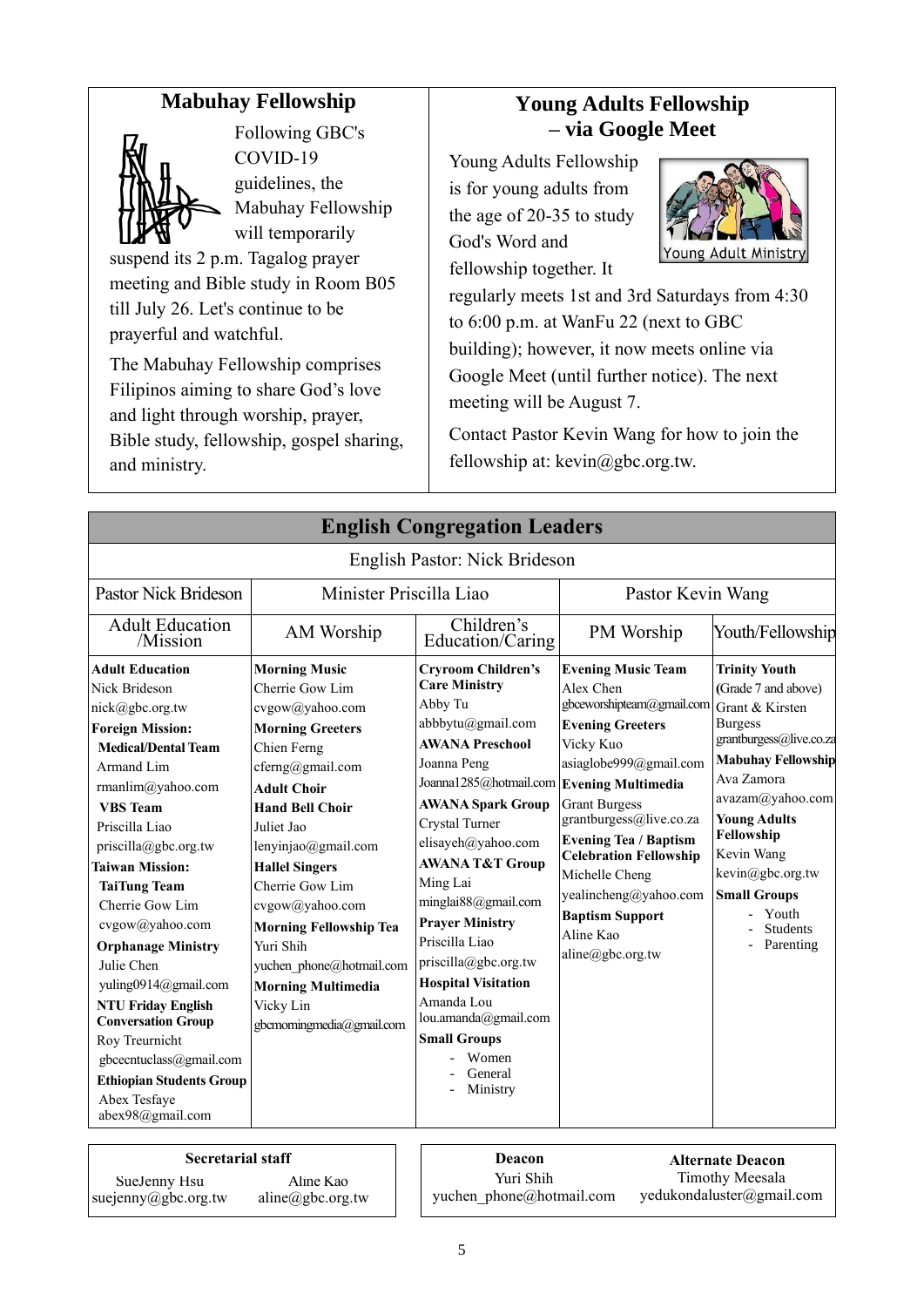## **Mabuhay Fellowship**



Following GBC's COVID-19 guidelines, the Mabuhay Fellowship will temporarily

suspend its 2 p.m. Tagalog prayer meeting and Bible study in Room B05 till July 26. Let's continue to be prayerful and watchful.

The Mabuhay Fellowship comprises Filipinos aiming to share God's love and light through worship, prayer, Bible study, fellowship, gospel sharing, and ministry.

## **Young Adults Fellowship – via Google Meet**

Young Adults Fellowship is for young adults from the age of 20-35 to study God's Word and fellowship together. It



regularly meets 1st and 3rd Saturdays from 4:30 to 6:00 p.m. at WanFu 22 (next to GBC building); however, it now meets online via Google Meet (until further notice). The next meeting will be August 7.

Contact Pastor Kevin Wang for how to join the fellowship at: [kevin@gbc.org.tw.](mailto:kevin@gbc.org.tw)

|                                                                                                                                                                                                                                                                                                                                                                                                                                                                                                                                                             |                                                                                                                                                                                                                                                                                                                                                                                                                               | <b>English Congregation Leaders</b>                                                                                                                                                                                                                                                                                                                                                                                                                                                                         |                                                                                                                                                                                                                                                                                                                                                                 |                                                                                                                                                                                                                                                                                                                   |
|-------------------------------------------------------------------------------------------------------------------------------------------------------------------------------------------------------------------------------------------------------------------------------------------------------------------------------------------------------------------------------------------------------------------------------------------------------------------------------------------------------------------------------------------------------------|-------------------------------------------------------------------------------------------------------------------------------------------------------------------------------------------------------------------------------------------------------------------------------------------------------------------------------------------------------------------------------------------------------------------------------|-------------------------------------------------------------------------------------------------------------------------------------------------------------------------------------------------------------------------------------------------------------------------------------------------------------------------------------------------------------------------------------------------------------------------------------------------------------------------------------------------------------|-----------------------------------------------------------------------------------------------------------------------------------------------------------------------------------------------------------------------------------------------------------------------------------------------------------------------------------------------------------------|-------------------------------------------------------------------------------------------------------------------------------------------------------------------------------------------------------------------------------------------------------------------------------------------------------------------|
|                                                                                                                                                                                                                                                                                                                                                                                                                                                                                                                                                             |                                                                                                                                                                                                                                                                                                                                                                                                                               | English Pastor: Nick Brideson                                                                                                                                                                                                                                                                                                                                                                                                                                                                               |                                                                                                                                                                                                                                                                                                                                                                 |                                                                                                                                                                                                                                                                                                                   |
| <b>Pastor Nick Brideson</b>                                                                                                                                                                                                                                                                                                                                                                                                                                                                                                                                 |                                                                                                                                                                                                                                                                                                                                                                                                                               | Minister Priscilla Liao                                                                                                                                                                                                                                                                                                                                                                                                                                                                                     | Pastor Kevin Wang                                                                                                                                                                                                                                                                                                                                               |                                                                                                                                                                                                                                                                                                                   |
| <b>Adult Education</b><br>/Mission                                                                                                                                                                                                                                                                                                                                                                                                                                                                                                                          | AM Worship                                                                                                                                                                                                                                                                                                                                                                                                                    | Children's<br>Education/Caring                                                                                                                                                                                                                                                                                                                                                                                                                                                                              | PM Worship                                                                                                                                                                                                                                                                                                                                                      | Youth/Fellowship                                                                                                                                                                                                                                                                                                  |
| <b>Adult Education</b><br>Nick Brideson<br>nick@gbc.org.tw<br><b>Foreign Mission:</b><br><b>Medical/Dental Team</b><br>Armand Lim<br>rmanlim@yahoo.com<br><b>VBS</b> Team<br>Priscilla Liao<br>priscilla@gbc.org.tw<br><b>Taiwan Mission:</b><br><b>TaiTung Team</b><br>Cherrie Gow Lim<br>cvgow@yahoo.com<br><b>Orphanage Ministry</b><br>Julie Chen<br>yuling0914@gmail.com<br><b>NTU Friday English</b><br><b>Conversation Group</b><br>Roy Treurnicht<br>gbcecntuclass@gmail.com<br><b>Ethiopian Students Group</b><br>Abex Tesfaye<br>abex98@gmail.com | <b>Morning Music</b><br>Cherrie Gow Lim<br>cvgow@yahoo.com<br><b>Morning Greeters</b><br>Chien Ferng<br>cferng@gmail.com<br><b>Adult Choir</b><br><b>Hand Bell Choir</b><br>Juliet Jao<br>lenyinjao@gmail.com<br><b>Hallel Singers</b><br>Cherrie Gow Lim<br>cvgow@yahoo.com<br><b>Morning Fellowship Tea</b><br>Yuri Shih<br>yuchen phone@hotmail.com<br><b>Morning Multimedia</b><br>Vicky Lin<br>gbcmorningmedia@gmail.com | <b>Cryroom Children's</b><br><b>Care Ministry</b><br>Abby Tu<br>abbbytu@gmail.com<br><b>AWANA Preschool</b><br>Joanna Peng<br>Joanna1285@hotmail.com Evening Multimedia<br><b>AWANA Spark Group</b><br>Crystal Turner<br>elisayeh@yahoo.com<br><b>AWANA T&amp;T Group</b><br>Ming Lai<br>minglai88@gmail.com<br><b>Prayer Ministry</b><br>Priscilla Liao<br>priscilla@gbc.org.tw<br><b>Hospital Visitation</b><br>Amanda Lou<br>lou.amanda@gmail.com<br><b>Small Groups</b><br>Women<br>General<br>Ministry | <b>Evening Music Team</b><br>Alex Chen<br>gbceworshipteam@gmail.com<br><b>Evening Greeters</b><br>Vicky Kuo<br>asiaglobe999@gmail.com<br><b>Grant Burgess</b><br>grantburgess@live.co.za<br><b>Evening Tea / Baptism</b><br><b>Celebration Fellowship</b><br>Michelle Cheng<br>yealincheng@yahoo.com<br><b>Baptism Support</b><br>Aline Kao<br>aline@gbc.org.tw | <b>Trinity Youth</b><br>(Grade 7 and above)<br>Grant & Kirsten<br><b>Burgess</b><br>grantburgess@live.co.za<br><b>Mabuhay Fellowship</b><br>Ava Zamora<br>avazam@yahoo.com<br><b>Young Adults</b><br>Fellowship<br>Kevin Wang<br>kevin@gbc.org.tw<br><b>Small Groups</b><br>Youth<br><b>Students</b><br>Parenting |
| <b>Secretarial staff</b>                                                                                                                                                                                                                                                                                                                                                                                                                                                                                                                                    |                                                                                                                                                                                                                                                                                                                                                                                                                               | Deacon                                                                                                                                                                                                                                                                                                                                                                                                                                                                                                      |                                                                                                                                                                                                                                                                                                                                                                 | <b>Alternate Deacon</b>                                                                                                                                                                                                                                                                                           |

SueJenny Hsu

Yuri Shih yuchen\_phone@hotmail.com

**Alternate Deacon** Timothy Meesala yedukondaluster@gmail.com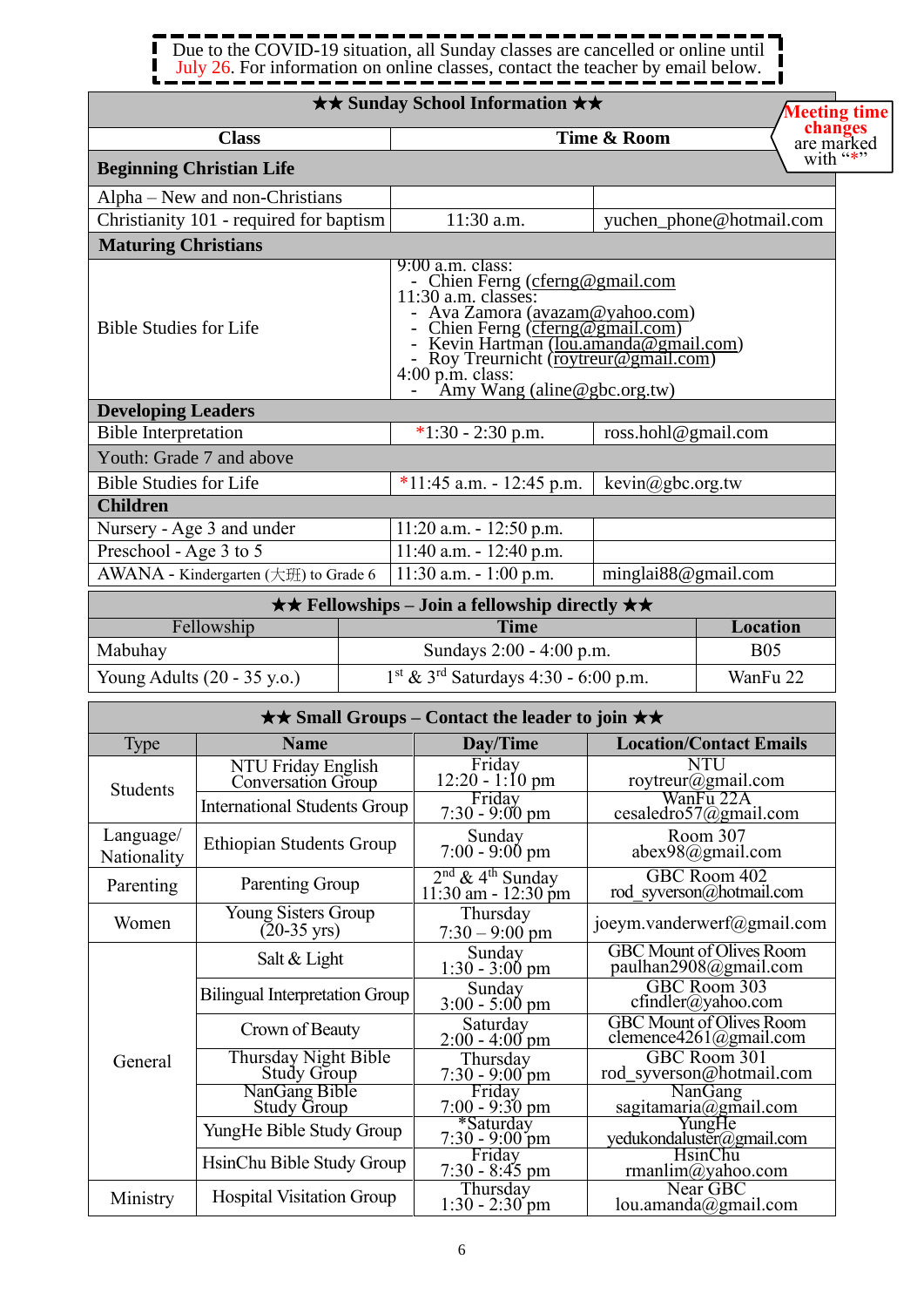#### . . . . 1  $\blacksquare$ Due to the COVID-19 situation, all Sunday classes are cancelled or online until  $\blacksquare$ П July 26. For information on online classes, contact the teacher by email below. J

*<u>time</u>* 

|                                                  |                                                     | <b>★★ Sunday School Information ★★</b>                                                                                                                                                                                                                                                                      |                         | <b>Meeting tim</b>                                               |
|--------------------------------------------------|-----------------------------------------------------|-------------------------------------------------------------------------------------------------------------------------------------------------------------------------------------------------------------------------------------------------------------------------------------------------------------|-------------------------|------------------------------------------------------------------|
|                                                  | <b>Class</b>                                        |                                                                                                                                                                                                                                                                                                             | Time & Room             | changes<br>are marked                                            |
|                                                  | <b>Beginning Christian Life</b>                     |                                                                                                                                                                                                                                                                                                             |                         | with "*"                                                         |
|                                                  | Alpha – New and non-Christians                      |                                                                                                                                                                                                                                                                                                             |                         |                                                                  |
|                                                  | Christianity 101 - required for baptism             | 11:30 a.m.                                                                                                                                                                                                                                                                                                  |                         | yuchen_phone@hotmail.com                                         |
| <b>Maturing Christians</b>                       |                                                     |                                                                                                                                                                                                                                                                                                             |                         |                                                                  |
| <b>Bible Studies for Life</b>                    |                                                     | $9:00$ a.m. class:<br>- Chien Ferng (cferng@gmail.com<br>11:30 a.m. classes:<br>- Ava Zamora (avazam@yahoo.com)<br>- Chien Ferng (cferng@gmail.com)<br>- Kevin Hartman ( <u>lou.amanda@gmail.com)</u><br>- Roy Treurnicht ( <u>roytreur@gmail.com)</u><br>4:00 p.m. class:<br>- Amy Wang (aline@gbc.org.tw) |                         |                                                                  |
| <b>Developing Leaders</b>                        |                                                     |                                                                                                                                                                                                                                                                                                             |                         |                                                                  |
| <b>Bible Interpretation</b>                      |                                                     | $*1:30 - 2:30$ p.m.                                                                                                                                                                                                                                                                                         | ross.hohl@gmail.com     |                                                                  |
|                                                  | Youth: Grade 7 and above                            |                                                                                                                                                                                                                                                                                                             |                         |                                                                  |
| <b>Bible Studies for Life</b><br><b>Children</b> |                                                     | $\overline{11:45}$ a.m. - 12:45 p.m.                                                                                                                                                                                                                                                                        | kevin@gbc.org.tw        |                                                                  |
|                                                  | Nursery - Age 3 and under                           | $11:20$ a.m. $-12:50$ p.m.                                                                                                                                                                                                                                                                                  |                         |                                                                  |
| Preschool - Age 3 to 5                           |                                                     | $11:40$ a.m. - $12:40$ p.m.                                                                                                                                                                                                                                                                                 |                         |                                                                  |
|                                                  | AWANA - Kindergarten (大班) to Grade 6                | $11:30$ a.m. $-1:00$ p.m.                                                                                                                                                                                                                                                                                   | minglai $88@$ gmail.com |                                                                  |
|                                                  |                                                     | $\star \star$ Fellowships – Join a fellowship directly $\star \star$                                                                                                                                                                                                                                        |                         |                                                                  |
|                                                  | Fellowship                                          | <b>Time</b>                                                                                                                                                                                                                                                                                                 |                         | Location                                                         |
| Mabuhay                                          |                                                     | Sundays 2:00 - 4:00 p.m.                                                                                                                                                                                                                                                                                    |                         | <b>B05</b>                                                       |
|                                                  | Young Adults (20 - 35 y.o.)                         | $1st$ & 3 <sup>rd</sup> Saturdays 4:30 - 6:00 p.m.                                                                                                                                                                                                                                                          |                         | WanFu 22                                                         |
|                                                  |                                                     | <b>★★ Small Groups – Contact the leader to join ★★</b>                                                                                                                                                                                                                                                      |                         |                                                                  |
| <b>Type</b>                                      | <b>Name</b>                                         | Day/Time                                                                                                                                                                                                                                                                                                    |                         | <b>Location/Contact Emails</b>                                   |
| Students                                         | NTU Friday English<br>Conversation Group            | Friday<br>12:20 - 1:10 pm                                                                                                                                                                                                                                                                                   |                         | NTU<br>roytreur@gmail.com                                        |
|                                                  | <b>International Students Group</b>                 | Friday<br>$7:30 - 9:00$ pm                                                                                                                                                                                                                                                                                  |                         | WanFu 22A<br>cesaledro57@gmail.com                               |
| Language/<br>Nationality                         | <b>Ethiopian Students Group</b>                     | Sunday<br>$7:00 - 9:00$ pm                                                                                                                                                                                                                                                                                  |                         | Room 307<br>$abex98$ @gmail.com                                  |
| Parenting                                        | Parenting Group                                     | $2nd$ & 4 <sup>th</sup> Sunday<br>$11:30$ am - $12:30$ pm                                                                                                                                                                                                                                                   |                         | GBC Room 402<br>rod syverson@hotmail.com                         |
| Women                                            | <b>Young Sisters Group</b><br>$(20-35 \text{ yrs})$ | Thursday<br>$7:30 - 9:00$ pm                                                                                                                                                                                                                                                                                |                         | joeym.vanderwerf@gmail.com                                       |
|                                                  | Salt & Light                                        | Sunday<br>$1:30 - 3:00$ pm                                                                                                                                                                                                                                                                                  |                         | <b>GBC Mount of Olives Room</b><br>paulhan2908@gmail.com         |
|                                                  | <b>Bilingual Interpretation Group</b>               | Sunday<br>$3:00 - 5:00 \text{ pm}$                                                                                                                                                                                                                                                                          |                         | GBC Room 303<br>$cfindler(a)$ yahoo.com                          |
|                                                  | Crown of Beauty                                     | Saturday<br>$2:00 - 4:00$ pm                                                                                                                                                                                                                                                                                |                         | <b>GBC Mount of Olives Room</b><br>clemence $4261$ @gmail.com    |
| General                                          | Thursday Night Bible<br><b>Study Group</b>          | Thursday<br>$7:30 - 9:00$ pm                                                                                                                                                                                                                                                                                |                         | GBC Room 301<br>rod syverson@hotmail.com                         |
|                                                  | NanGang Bible<br><b>Study Group</b>                 | Friday<br>$7:00 - 9:30$ pm                                                                                                                                                                                                                                                                                  |                         | <b>NanGang</b><br>$s$ agitamaria@gmail.com                       |
|                                                  | YungHe Bible Study Group                            | *Saturday                                                                                                                                                                                                                                                                                                   |                         | YungHe                                                           |
|                                                  | HsinChu Bible Study Group                           | $7:30 - 9:00$ pm<br>Friday<br>$7:30 - 8:45$ pm                                                                                                                                                                                                                                                              |                         | yedukondaluster@gmail.com<br><b>HsinChu</b><br>rmanlim@yahoo.com |
| Ministry                                         | <b>Hospital Visitation Group</b>                    | Thursday<br>$1:30 - 2:30$ pm                                                                                                                                                                                                                                                                                |                         | Near GBC<br>lou.amanda@gmail.com                                 |